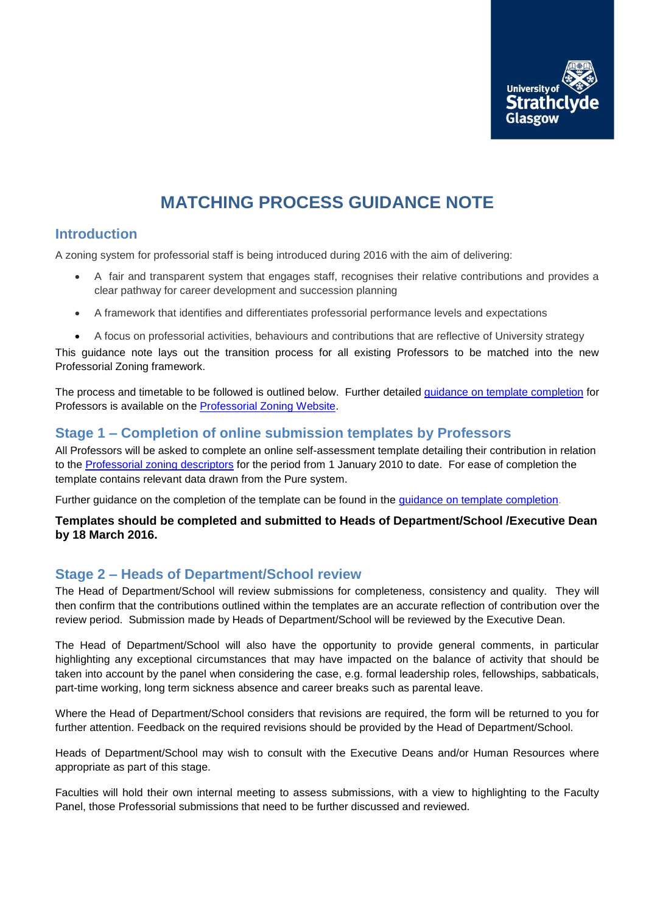

# **MATCHING PROCESS GUIDANCE NOTE**

### **Introduction**

A zoning system for professorial staff is being introduced during 2016 with the aim of delivering:

- A fair and transparent system that engages staff, recognises their relative contributions and provides a clear pathway for career development and succession planning
- A framework that identifies and differentiates professorial performance levels and expectations
- A focus on professorial activities, behaviours and contributions that are reflective of University strategy

This guidance note lays out the transition process for all existing Professors to be matched into the new Professorial Zoning framework.

The process and timetable to be followed is outlined below. Further detailed [guidance on template completion](http://www.strath.ac.uk/media/ps/humanresources/careerpathways/Professorial_Zoning_Template_Completion_Guidance.pdf) for Professors is available on the [Professorial Zoning Website.](http://www.strath.ac.uk/hr/careerpathways/professorialzoning/)

### **Stage 1 – Completion of online submission templates by Professors**

All Professors will be asked to complete an online self-assessment template detailing their contribution in relation to the [Professorial zoning descriptors](http://www.strath.ac.uk/media/ps/humanresources/careerpathways/Professorial_Zoning_Descriptors.pdf) for the period from 1 January 2010 to date. For ease of completion the template contains relevant data drawn from the Pure system.

Further guidance on the completion of the template can be found in the [guidance on template completion.](http://www.strath.ac.uk/media/ps/humanresources/careerpathways/Professorial_Zoning_Template_Completion_Guidance.pdf)

#### **Templates should be completed and submitted to Heads of Department/School /Executive Dean by 18 March 2016.**

### **Stage 2 – Heads of Department/School review**

The Head of Department/School will review submissions for completeness, consistency and quality. They will then confirm that the contributions outlined within the templates are an accurate reflection of contribution over the review period. Submission made by Heads of Department/School will be reviewed by the Executive Dean.

The Head of Department/School will also have the opportunity to provide general comments, in particular highlighting any exceptional circumstances that may have impacted on the balance of activity that should be taken into account by the panel when considering the case, e.g. formal leadership roles, fellowships, sabbaticals, part-time working, long term sickness absence and career breaks such as parental leave.

Where the Head of Department/School considers that revisions are required, the form will be returned to you for further attention. Feedback on the required revisions should be provided by the Head of Department/School.

Heads of Department/School may wish to consult with the Executive Deans and/or Human Resources where appropriate as part of this stage.

Faculties will hold their own internal meeting to assess submissions, with a view to highlighting to the Faculty Panel, those Professorial submissions that need to be further discussed and reviewed.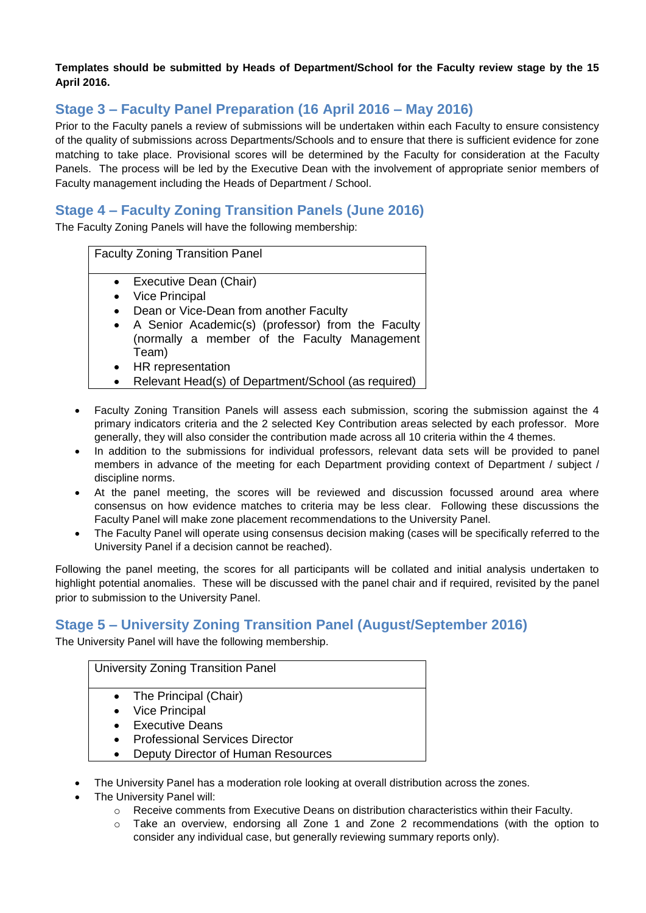#### **Templates should be submitted by Heads of Department/School for the Faculty review stage by the 15 April 2016.**

# **Stage 3 – Faculty Panel Preparation (16 April 2016 – May 2016)**

Prior to the Faculty panels a review of submissions will be undertaken within each Faculty to ensure consistency of the quality of submissions across Departments/Schools and to ensure that there is sufficient evidence for zone matching to take place. Provisional scores will be determined by the Faculty for consideration at the Faculty Panels. The process will be led by the Executive Dean with the involvement of appropriate senior members of Faculty management including the Heads of Department / School.

## **Stage 4 – Faculty Zoning Transition Panels (June 2016)**

The Faculty Zoning Panels will have the following membership:

Faculty Zoning Transition Panel

- Executive Dean (Chair)
- Vice Principal
- Dean or Vice-Dean from another Faculty
- A Senior Academic(s) (professor) from the Faculty (normally a member of the Faculty Management Team)
- HR representation
- Relevant Head(s) of Department/School (as required)
- Faculty Zoning Transition Panels will assess each submission, scoring the submission against the 4 primary indicators criteria and the 2 selected Key Contribution areas selected by each professor. More generally, they will also consider the contribution made across all 10 criteria within the 4 themes.
- In addition to the submissions for individual professors, relevant data sets will be provided to panel members in advance of the meeting for each Department providing context of Department / subject / discipline norms.
- At the panel meeting, the scores will be reviewed and discussion focussed around area where consensus on how evidence matches to criteria may be less clear. Following these discussions the Faculty Panel will make zone placement recommendations to the University Panel.
- The Faculty Panel will operate using consensus decision making (cases will be specifically referred to the University Panel if a decision cannot be reached).

Following the panel meeting, the scores for all participants will be collated and initial analysis undertaken to highlight potential anomalies. These will be discussed with the panel chair and if required, revisited by the panel prior to submission to the University Panel.

### **Stage 5 – University Zoning Transition Panel (August/September 2016)**

The University Panel will have the following membership.

| University Zoning Transition Panel |                                       |
|------------------------------------|---------------------------------------|
|                                    | • The Principal (Chair)               |
|                                    | • Vice Principal                      |
|                                    | • Executive Deans                     |
| $\bullet$                          | <b>Professional Services Director</b> |
|                                    | Deputy Director of Human Resources    |

- The University Panel has a moderation role looking at overall distribution across the zones.
- The University Panel will:
	- o Receive comments from Executive Deans on distribution characteristics within their Faculty.
	- $\circ$  Take an overview, endorsing all Zone 1 and Zone 2 recommendations (with the option to consider any individual case, but generally reviewing summary reports only).